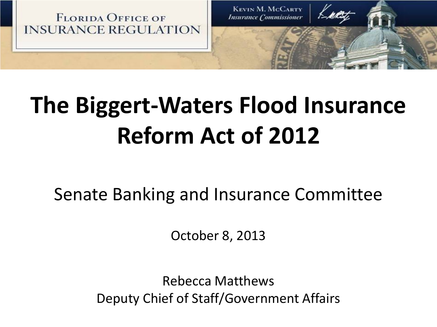

# **The Biggert-Waters Flood Insurance Reform Act of 2012**

Senate Banking and Insurance Committee

October 8, 2013

Rebecca Matthews Deputy Chief of Staff/Government Affairs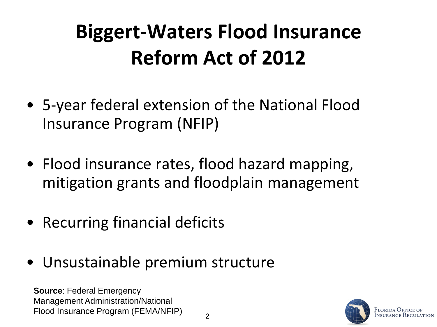## **Biggert-Waters Flood Insurance Reform Act of 2012**

- 5-year federal extension of the National Flood Insurance Program (NFIP)
- Flood insurance rates, flood hazard mapping, mitigation grants and floodplain management
- Recurring financial deficits
- Unsustainable premium structure

**Source**: Federal Emergency Management Administration/National Flood Insurance Program (FEMA/NFIP)

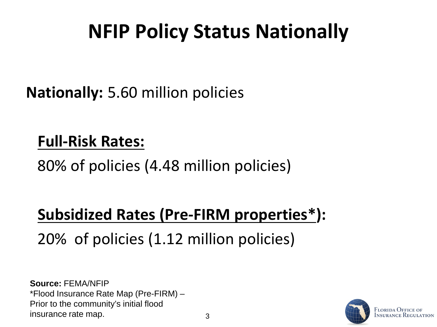### **NFIP Policy Status Nationally**

**Nationally:** 5.60 million policies

#### **Full-Risk Rates:**

80% of policies (4.48 million policies)

#### **Subsidized Rates (Pre-FIRM properties\*):**

20% of policies (1.12 million policies)

**Source:** FEMA/NFIP \*Flood Insurance Rate Map (Pre-FIRM) – Prior to the community's initial flood insurance rate map.  $\frac{3}{3}$ 

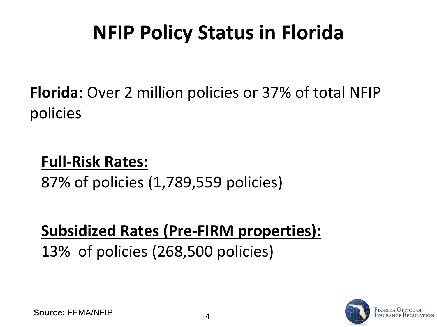#### **NFIP Policy Status in Florida**

**Florida**: Over 2 million policies or 37% of total NFIP policies

#### **Full-Risk Rates:**

87% of policies (1,789,559 policies)

#### **Subsidized Rates (Pre-FIRM properties):**

13% of policies (268,500 policies)

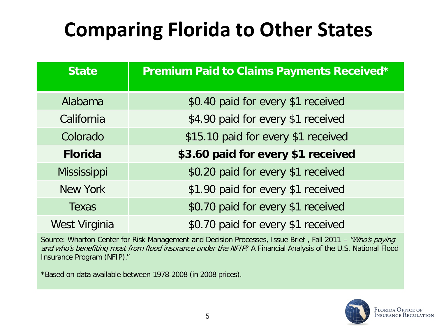### **Comparing Florida to Other States**

| <b>State</b>       | Premium Paid to Claims Payments Received* |  |  |
|--------------------|-------------------------------------------|--|--|
| Alabama            | \$0.40 paid for every \$1 received        |  |  |
| California         | \$4.90 paid for every \$1 received        |  |  |
| Colorado           | \$15.10 paid for every \$1 received       |  |  |
| <b>Florida</b>     | \$3.60 paid for every \$1 received        |  |  |
| <b>Mississippi</b> | \$0.20 paid for every \$1 received        |  |  |
| New York           | \$1.90 paid for every \$1 received        |  |  |
| Texas              | \$0.70 paid for every \$1 received        |  |  |
| West Virginia      | \$0.70 paid for every \$1 received        |  |  |

Source: Wharton Center for Risk Management and Decision Processes, Issue Brief, Fall 2011 – "Who's paying and who's benefiting most from flood insurance under the NFIP? A Financial Analysis of the U.S. National Flood Insurance Program (NFIP)."

\*Based on data available between 1978-2008 (in 2008 prices).

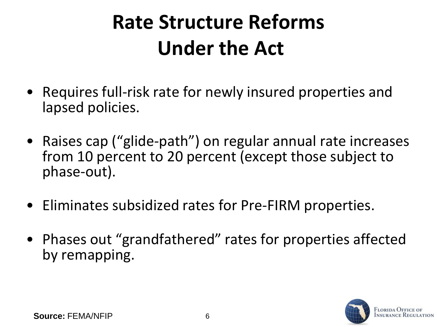## **Rate Structure Reforms Under the Act**

- Requires full-risk rate for newly insured properties and lapsed policies.
- Raises cap ("glide-path") on regular annual rate increases from 10 percent to 20 percent (except those subject to phase-out).
- Eliminates subsidized rates for Pre-FIRM properties.
- Phases out "grandfathered" rates for properties affected by remapping.

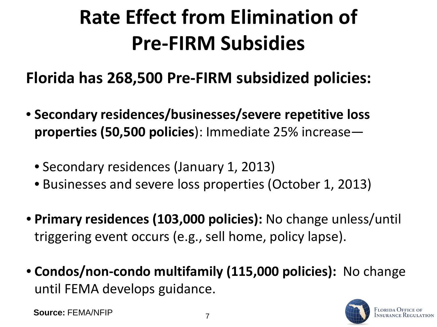## **Rate Effect from Elimination of Pre-FIRM Subsidies**

**Florida has 268,500 Pre-FIRM subsidized policies:**

- **Secondary residences/businesses/severe repetitive loss properties (50,500 policies**): Immediate 25% increase—
	- Secondary residences (January 1, 2013)
	- Businesses and severe loss properties (October 1, 2013)
- **Primary residences (103,000 policies):** No change unless/until triggering event occurs (e.g., sell home, policy lapse).
- **Condos/non-condo multifamily (115,000 policies):** No change until FEMA develops guidance.

**Source: FEMA/NFIP** 7

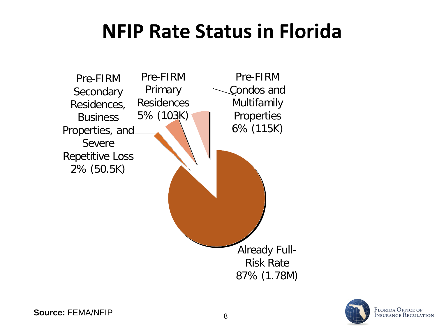#### **NFIP Rate Status in Florida**



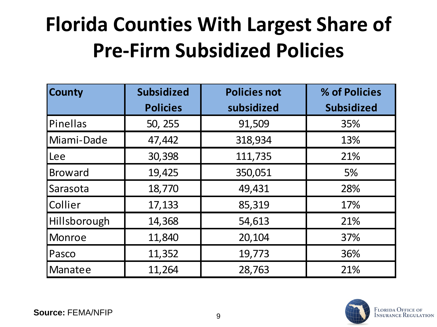## **Florida Counties With Largest Share of Pre-Firm Subsidized Policies**

| <b>County</b>  | <b>Subsidized</b> | <b>Policies not</b> | % of Policies     |
|----------------|-------------------|---------------------|-------------------|
|                | <b>Policies</b>   | subsidized          | <b>Subsidized</b> |
| Pinellas       | 50, 255           | 91,509              | 35%               |
| Miami-Dade     | 47,442            | 318,934             | 13%               |
| Lee            | 30,398            | 111,735             | 21%               |
| <b>Broward</b> | 19,425            | 350,051             | 5%                |
| Sarasota       | 18,770            | 49,431              | 28%               |
| Collier        | 17,133            | 85,319              | 17%               |
| Hillsborough   | 14,368            | 54,613              | 21%               |
| <b>Monroe</b>  | 11,840            | 20,104              | 37%               |
| Pasco          | 11,352            | 19,773              | 36%               |
| Manatee        | 11,264            | 28,763              | 21%               |

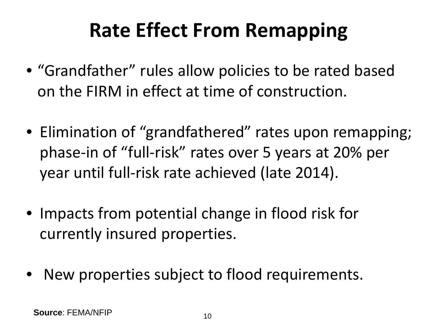### **Rate Effect From Remapping**

- "Grandfather" rules allow policies to be rated based on the FIRM in effect at time of construction.
- Elimination of "grandfathered" rates upon remapping; phase-in of "full-risk" rates over 5 years at 20% per year until full-risk rate achieved (late 2014).
- Impacts from potential change in flood risk for currently insured properties.
- New properties subject to flood requirements.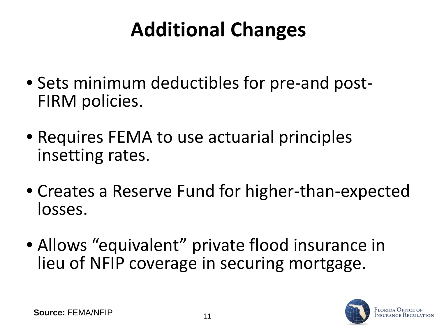## **Additional Changes**

- Sets minimum deductibles for pre-and post- FIRM policies.
- Requires FEMA to use actuarial principles insetting rates.
- Creates a Reserve Fund for higher-than-expected losses.
- Allows "equivalent" private flood insurance in lieu of NFIP coverage in securing mortgage.

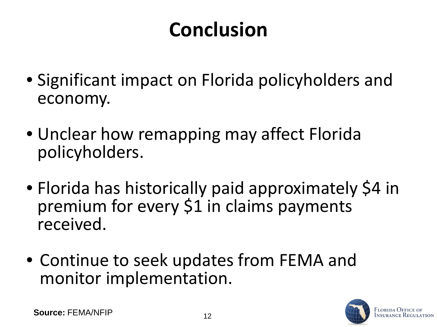### **Conclusion**

- Significant impact on Florida policyholders and economy.
- Unclear how remapping may affect Florida policyholders.
- Florida has historically paid approximately \$4 in premium for every \$1 in claims payments received.
- Continue to seek updates from FEMA and monitor implementation.